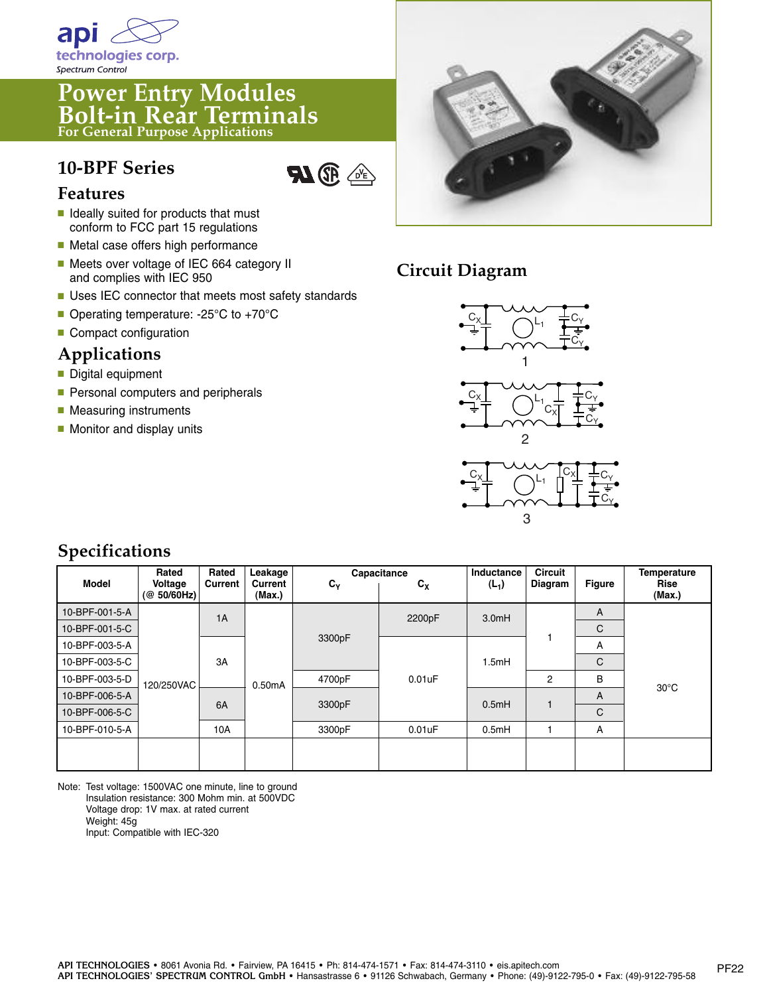

# **Power Entry Modules Bolt-in Rear Terminals For General Purpose Applications**

## **10-BPF Series**



#### **Features**

- **■** Ideally suited for products that must conform to FCC part 15 regulations
- Metal case offers high performance
- Meets over voltage of IEC 664 category II and complies with IEC 950
- Uses IEC connector that meets most safety standards
- Operating temperature: -25°C to +70°C
- Compact configuration

#### **Applications**

- **■** Digital equipment
- Personal computers and peripherals
- Measuring instruments
- Monitor and display units



## **Circuit Diagram**



#### **Specifications**

| <b>Model</b>   | Rated<br>Voltage<br>(Q 50/60 Hz) | Rated<br>Current | Leakage<br>Current<br>(Max.) | $c_{\gamma}$ | Capacitance<br>$c_{x}$ | Inductance<br>$(L_1)$ | <b>Circuit</b><br>Diagram | <b>Figure</b> | Temperature<br>Rise<br>(Max.) |
|----------------|----------------------------------|------------------|------------------------------|--------------|------------------------|-----------------------|---------------------------|---------------|-------------------------------|
| 10-BPF-001-5-A | 120/250VAC                       | 1A               | 0.50mA                       | 3300pF       | 2200pF                 | 3.0mH                 |                           | A             | $30^{\circ}$ C                |
| 10-BPF-001-5-C |                                  |                  |                              |              |                        |                       |                           | C             |                               |
| 10-BPF-003-5-A |                                  | 3A               |                              |              | 0.01uF                 | 1.5mH                 |                           | A             |                               |
| 10-BPF-003-5-C |                                  |                  |                              |              |                        |                       |                           | C             |                               |
| 10-BPF-003-5-D |                                  |                  |                              | 4700pF       |                        |                       | 2                         | В             |                               |
| 10-BPF-006-5-A |                                  | 6A               |                              | 3300pF       |                        | 0.5mH                 |                           | A             |                               |
| 10-BPF-006-5-C |                                  |                  |                              |              |                        |                       |                           | C             |                               |
| 10-BPF-010-5-A |                                  | 10A              |                              | 3300pF       | 0.01uF                 | 0.5mH                 |                           | A             |                               |
|                |                                  |                  |                              |              |                        |                       |                           |               |                               |

Note: Test voltage: 1500VAC one minute, line to ground Insulation resistance: 300 Mohm min. at 500VDC Voltage drop: 1V max. at rated current Weight: 45g Input: Compatible with IEC-320